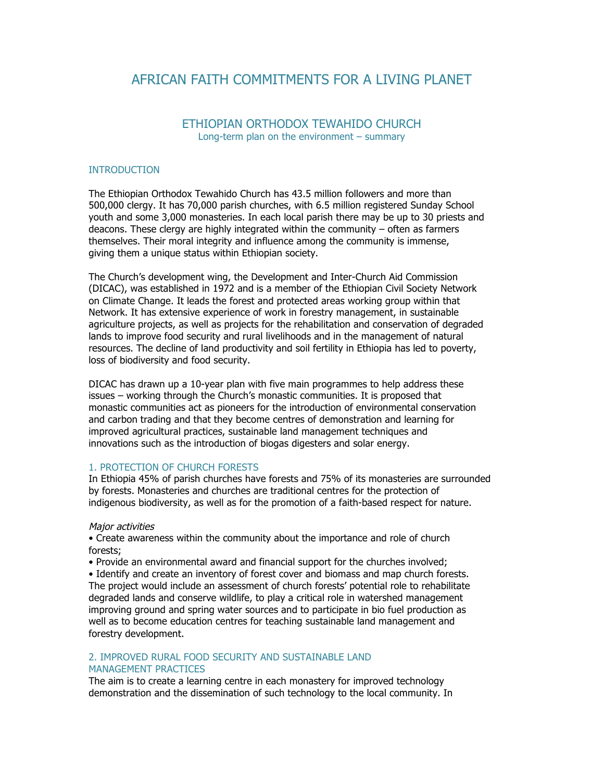# AFRICAN FAITH COMMITMENTS FOR A LIVING PLANET

# ETHIOPIAN ORTHODOX TEWAHIDO CHURCH Long-term plan on the environment – summary

### **INTRODUCTION**

The Ethiopian Orthodox Tewahido Church has 43.5 million followers and more than 500,000 clergy. It has 70,000 parish churches, with 6.5 million registered Sunday School youth and some 3,000 monasteries. In each local parish there may be up to 30 priests and deacons. These clergy are highly integrated within the community – often as farmers themselves. Their moral integrity and influence among the community is immense, giving them a unique status within Ethiopian society.

The Church's development wing, the Development and Inter-Church Aid Commission (DICAC), was established in 1972 and is a member of the Ethiopian Civil Society Network on Climate Change. It leads the forest and protected areas working group within that Network. It has extensive experience of work in forestry management, in sustainable agriculture projects, as well as projects for the rehabilitation and conservation of degraded lands to improve food security and rural livelihoods and in the management of natural resources. The decline of land productivity and soil fertility in Ethiopia has led to poverty, loss of biodiversity and food security.

DICAC has drawn up a 10-year plan with five main programmes to help address these issues – working through the Church's monastic communities. It is proposed that monastic communities act as pioneers for the introduction of environmental conservation and carbon trading and that they become centres of demonstration and learning for improved agricultural practices, sustainable land management techniques and innovations such as the introduction of biogas digesters and solar energy.

# 1. PROTECTION OF CHURCH FORESTS

In Ethiopia 45% of parish churches have forests and 75% of its monasteries are surrounded by forests. Monasteries and churches are traditional centres for the protection of indigenous biodiversity, as well as for the promotion of a faith-based respect for nature.

#### Major activities

• Create awareness within the community about the importance and role of church forests;

• Provide an environmental award and financial support for the churches involved;

• Identify and create an inventory of forest cover and biomass and map church forests. The project would include an assessment of church forests' potential role to rehabilitate degraded lands and conserve wildlife, to play a critical role in watershed management improving ground and spring water sources and to participate in bio fuel production as well as to become education centres for teaching sustainable land management and forestry development.

# 2. IMPROVED RURAL FOOD SECURITY AND SUSTAINABLE LAND MANAGEMENT PRACTICES

The aim is to create a learning centre in each monastery for improved technology demonstration and the dissemination of such technology to the local community. In